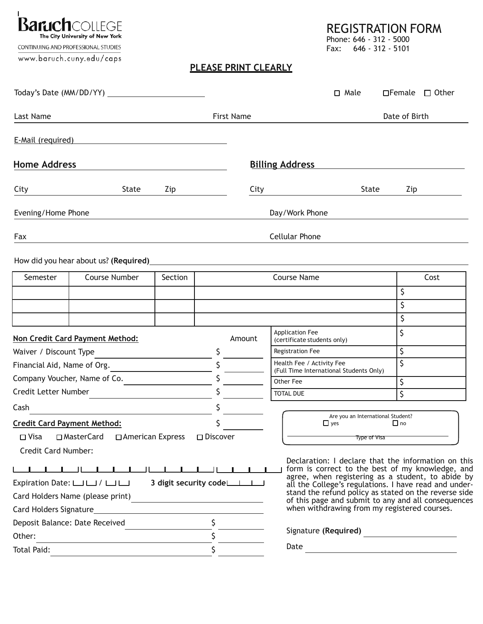REGISTRATION FORM

**Baruch**collEGE The City University of New York

CONTINUING AND PROFESSIONAL STUDIES

www.baruch.cuny.edu/caps

Phone: 646 - 312 - 5000 Fax: 646 - 312 - 5101

## **PLEASE PRINT CLEARLY**

|                                                                                                                |                                                                                                                                                                                                                                |     |                    | □ Male                                                                                                                                                                                                                  |                                   | $\Box$ Female $\Box$ Other                                                                              |  |  |  |
|----------------------------------------------------------------------------------------------------------------|--------------------------------------------------------------------------------------------------------------------------------------------------------------------------------------------------------------------------------|-----|--------------------|-------------------------------------------------------------------------------------------------------------------------------------------------------------------------------------------------------------------------|-----------------------------------|---------------------------------------------------------------------------------------------------------|--|--|--|
| Last Name                                                                                                      |                                                                                                                                                                                                                                |     | <b>First Name</b>  |                                                                                                                                                                                                                         | Date of Birth                     |                                                                                                         |  |  |  |
| E-Mail (required)                                                                                              |                                                                                                                                                                                                                                |     |                    |                                                                                                                                                                                                                         |                                   |                                                                                                         |  |  |  |
| <b>Home Address</b>                                                                                            |                                                                                                                                                                                                                                |     |                    | <b>Billing Address</b>                                                                                                                                                                                                  |                                   |                                                                                                         |  |  |  |
| City                                                                                                           | <b>State</b>                                                                                                                                                                                                                   | Zip | City               |                                                                                                                                                                                                                         | State                             | Zip                                                                                                     |  |  |  |
| Evening/Home Phone                                                                                             |                                                                                                                                                                                                                                |     |                    | Day/Work Phone                                                                                                                                                                                                          |                                   |                                                                                                         |  |  |  |
| Fax                                                                                                            |                                                                                                                                                                                                                                |     |                    | <b>Cellular Phone</b>                                                                                                                                                                                                   |                                   |                                                                                                         |  |  |  |
|                                                                                                                | How did you hear about us? (Required) example and the state of the state of the state of the state of the state of the state of the state of the state of the state of the state of the state of the state of the state of the |     |                    |                                                                                                                                                                                                                         |                                   |                                                                                                         |  |  |  |
| Semester<br>Course Number<br>Section                                                                           |                                                                                                                                                                                                                                |     | <b>Course Name</b> |                                                                                                                                                                                                                         |                                   | Cost                                                                                                    |  |  |  |
|                                                                                                                |                                                                                                                                                                                                                                |     |                    |                                                                                                                                                                                                                         |                                   | Ś.                                                                                                      |  |  |  |
|                                                                                                                |                                                                                                                                                                                                                                |     |                    |                                                                                                                                                                                                                         |                                   | \$                                                                                                      |  |  |  |
|                                                                                                                |                                                                                                                                                                                                                                |     |                    |                                                                                                                                                                                                                         |                                   | \$                                                                                                      |  |  |  |
|                                                                                                                | Non Credit Card Payment Method:                                                                                                                                                                                                |     | Amount             | Application Fee<br>(certificate students only)                                                                                                                                                                          |                                   | \$                                                                                                      |  |  |  |
| Waiver / Discount Type                                                                                         |                                                                                                                                                                                                                                |     | \$                 | <b>Registration Fee</b>                                                                                                                                                                                                 |                                   | \$                                                                                                      |  |  |  |
|                                                                                                                | Financial Aid, Name of Org.                                                                                                                                                                                                    |     | $\mathsf{S}$       | Health Fee / Activity Fee<br>(Full Time International Students Only)                                                                                                                                                    |                                   | \$                                                                                                      |  |  |  |
|                                                                                                                | Company Voucher, Name of Co.                                                                                                                                                                                                   |     |                    | Other Fee                                                                                                                                                                                                               |                                   | \$                                                                                                      |  |  |  |
| Credit Letter Number                                                                                           |                                                                                                                                                                                                                                |     |                    | <b>TOTAL DUE</b>                                                                                                                                                                                                        |                                   | \$                                                                                                      |  |  |  |
| Cash                                                                                                           |                                                                                                                                                                                                                                |     | \$                 |                                                                                                                                                                                                                         |                                   |                                                                                                         |  |  |  |
|                                                                                                                | <b>Credit Card Payment Method:</b>                                                                                                                                                                                             |     |                    | $\Box$ yes                                                                                                                                                                                                              | Are you an International Student? | $\square$ no                                                                                            |  |  |  |
| □ Visa □ MasterCard □ American Express                                                                         |                                                                                                                                                                                                                                |     | $\square$ Discover | <b>Type of Visa</b>                                                                                                                                                                                                     |                                   |                                                                                                         |  |  |  |
| <b>Credit Card Number:</b>                                                                                     |                                                                                                                                                                                                                                |     |                    |                                                                                                                                                                                                                         |                                   |                                                                                                         |  |  |  |
|                                                                                                                |                                                                                                                                                                                                                                |     |                    |                                                                                                                                                                                                                         |                                   | Declaration: I declare that the information on this<br>form is correct to the best of my knowledge, and |  |  |  |
| 3 digit security code<br>Expiration Date: $\Box$ $\Box$ $\Box$                                                 |                                                                                                                                                                                                                                |     |                    | agree, when registering as a student, to abide by all the College's regulations. I have read and under-<br>stand the refund policy as stated on the reverse side<br>of this page and submit to any and all consequences |                                   |                                                                                                         |  |  |  |
| Card Holders Name (please print)<br>the control of the control of the control of the control of the control of |                                                                                                                                                                                                                                |     |                    |                                                                                                                                                                                                                         |                                   |                                                                                                         |  |  |  |
|                                                                                                                |                                                                                                                                                                                                                                |     |                    | when withdrawing from my registered courses.                                                                                                                                                                            |                                   |                                                                                                         |  |  |  |
|                                                                                                                | Deposit Balance: Date Received                                                                                                                                                                                                 |     | $\mathsf{S}$       |                                                                                                                                                                                                                         |                                   |                                                                                                         |  |  |  |
| Other:                                                                                                         | the control of the control of the control of the control of the control of                                                                                                                                                     |     | $\mathsf{S}$       | Signature (Required)                                                                                                                                                                                                    |                                   |                                                                                                         |  |  |  |
| Total Paid:                                                                                                    |                                                                                                                                                                                                                                |     | Ś.                 | Date                                                                                                                                                                                                                    |                                   |                                                                                                         |  |  |  |